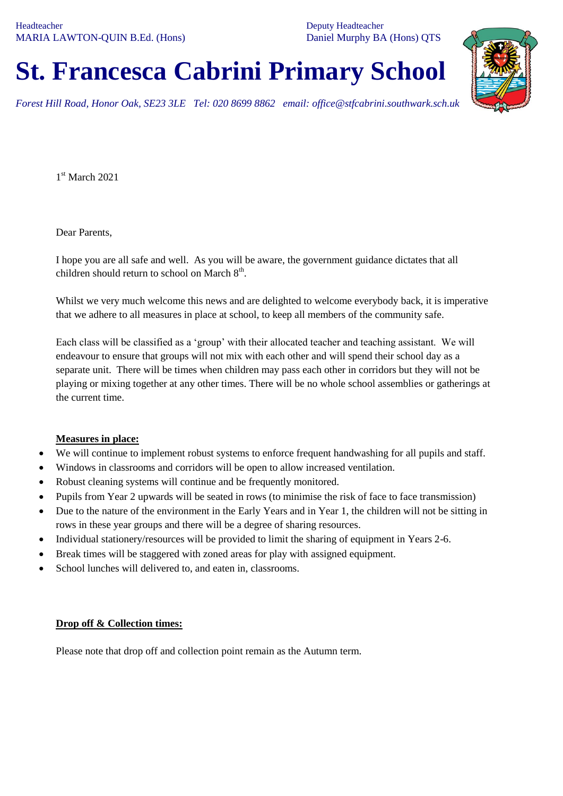Deputy Headteacher Daniel Murphy BA (Hons) QTS

# **St. Francesca Cabrini Primary School**

*Forest Hill Road, Honor Oak, SE23 3LE Tel: 020 8699 8862 email: office@stfcabrini.southwark.sch.uk*

1st March 2021

Dear Parents,

I hope you are all safe and well. As you will be aware, the government guidance dictates that all children should return to school on March  $8<sup>th</sup>$ .

Whilst we very much welcome this news and are delighted to welcome everybody back, it is imperative that we adhere to all measures in place at school, to keep all members of the community safe.

Each class will be classified as a 'group' with their allocated teacher and teaching assistant. We will endeavour to ensure that groups will not mix with each other and will spend their school day as a separate unit. There will be times when children may pass each other in corridors but they will not be playing or mixing together at any other times. There will be no whole school assemblies or gatherings at the current time.

## **Measures in place:**

- We will continue to implement robust systems to enforce frequent handwashing for all pupils and staff.
- Windows in classrooms and corridors will be open to allow increased ventilation.
- Robust cleaning systems will continue and be frequently monitored.
- Pupils from Year 2 upwards will be seated in rows (to minimise the risk of face to face transmission)
- Due to the nature of the environment in the Early Years and in Year 1, the children will not be sitting in rows in these year groups and there will be a degree of sharing resources.
- Individual stationery/resources will be provided to limit the sharing of equipment in Years 2-6.
- Break times will be staggered with zoned areas for play with assigned equipment.
- School lunches will delivered to, and eaten in, classrooms.

#### **Drop off & Collection times:**

Please note that drop off and collection point remain as the Autumn term.

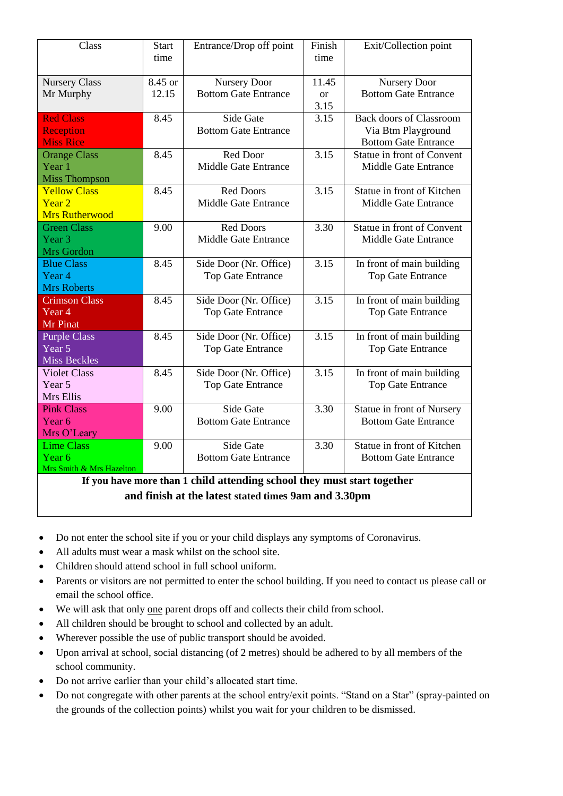| Class                                                                   | <b>Start</b><br>time | Entrance/Drop off point     | Finish<br>time | Exit/Collection point          |
|-------------------------------------------------------------------------|----------------------|-----------------------------|----------------|--------------------------------|
| <b>Nursery Class</b>                                                    | 8.45 or              | <b>Nursery Door</b>         | 11.45          | <b>Nursery Door</b>            |
| Mr Murphy                                                               | 12.15                | <b>Bottom Gate Entrance</b> | $\alpha$       | <b>Bottom Gate Entrance</b>    |
|                                                                         |                      |                             | 3.15           |                                |
| <b>Red Class</b>                                                        | 8.45                 | Side Gate                   | 3.15           | <b>Back doors of Classroom</b> |
| <b>Reception</b>                                                        |                      | <b>Bottom Gate Entrance</b> |                | Via Btm Playground             |
| <b>Miss Rice</b>                                                        |                      |                             |                | <b>Bottom Gate Entrance</b>    |
| <b>Orange Class</b>                                                     | 8.45                 | Red Door                    | 3.15           | Statue in front of Convent     |
| Year 1                                                                  |                      | <b>Middle Gate Entrance</b> |                | <b>Middle Gate Entrance</b>    |
| <b>Miss Thompson</b>                                                    |                      |                             |                |                                |
| <b>Yellow Class</b>                                                     | 8.45                 | <b>Red Doors</b>            | 3.15           | Statue in front of Kitchen     |
| Year <sub>2</sub>                                                       |                      | <b>Middle Gate Entrance</b> |                | <b>Middle Gate Entrance</b>    |
| <b>Mrs Rutherwood</b>                                                   |                      |                             |                |                                |
| <b>Green Class</b>                                                      | 9.00                 | <b>Red Doors</b>            | 3.30           | Statue in front of Convent     |
| Year 3                                                                  |                      | <b>Middle Gate Entrance</b> |                | <b>Middle Gate Entrance</b>    |
| Mrs Gordon                                                              |                      |                             |                |                                |
| <b>Blue Class</b>                                                       | 8.45                 | Side Door (Nr. Office)      | 3.15           | In front of main building      |
| Year 4                                                                  |                      | <b>Top Gate Entrance</b>    |                | <b>Top Gate Entrance</b>       |
| <b>Mrs Roberts</b>                                                      |                      |                             |                |                                |
| <b>Crimson Class</b>                                                    | 8.45                 | Side Door (Nr. Office)      | 3.15           | In front of main building      |
| Year 4                                                                  |                      | Top Gate Entrance           |                | <b>Top Gate Entrance</b>       |
| Mr Pinat                                                                |                      |                             |                |                                |
| <b>Purple Class</b>                                                     | 8.45                 | Side Door (Nr. Office)      | 3.15           | In front of main building      |
| $\overline{Year}$ 5                                                     |                      | <b>Top Gate Entrance</b>    |                | <b>Top Gate Entrance</b>       |
| <b>Miss Beckles</b>                                                     |                      |                             |                |                                |
| <b>Violet Class</b>                                                     | 8.45                 | Side Door (Nr. Office)      | 3.15           | In front of main building      |
| Year 5                                                                  |                      | Top Gate Entrance           |                | <b>Top Gate Entrance</b>       |
| Mrs Ellis                                                               |                      |                             |                |                                |
| <b>Pink Class</b>                                                       | 9.00                 | Side Gate                   | 3.30           | Statue in front of Nursery     |
| Year <sub>6</sub>                                                       |                      | <b>Bottom Gate Entrance</b> |                | <b>Bottom Gate Entrance</b>    |
| Mrs O'Leary<br><b>Lime Class</b>                                        | 9.00                 | Side Gate                   | 3.30           | Statue in front of Kitchen     |
| Year <sub>6</sub>                                                       |                      | <b>Bottom Gate Entrance</b> |                | <b>Bottom Gate Entrance</b>    |
| Mrs Smith & Mrs Hazelton                                                |                      |                             |                |                                |
| If you have more than 1 child attending school they must start together |                      |                             |                |                                |

**and finish at the latest stated times 9am and 3.30pm**

- Do not enter the school site if you or your child displays any symptoms of Coronavirus.
- All adults must wear a mask whilst on the school site.
- Children should attend school in full school uniform.
- Parents or visitors are not permitted to enter the school building. If you need to contact us please call or email the school office.
- We will ask that only one parent drops off and collects their child from school.
- All children should be brought to school and collected by an adult.
- Wherever possible the use of public transport should be avoided.
- Upon arrival at school, social distancing (of 2 metres) should be adhered to by all members of the school community.
- Do not arrive earlier than your child's allocated start time.
- Do not congregate with other parents at the school entry/exit points. "Stand on a Star" (spray-painted on the grounds of the collection points) whilst you wait for your children to be dismissed.